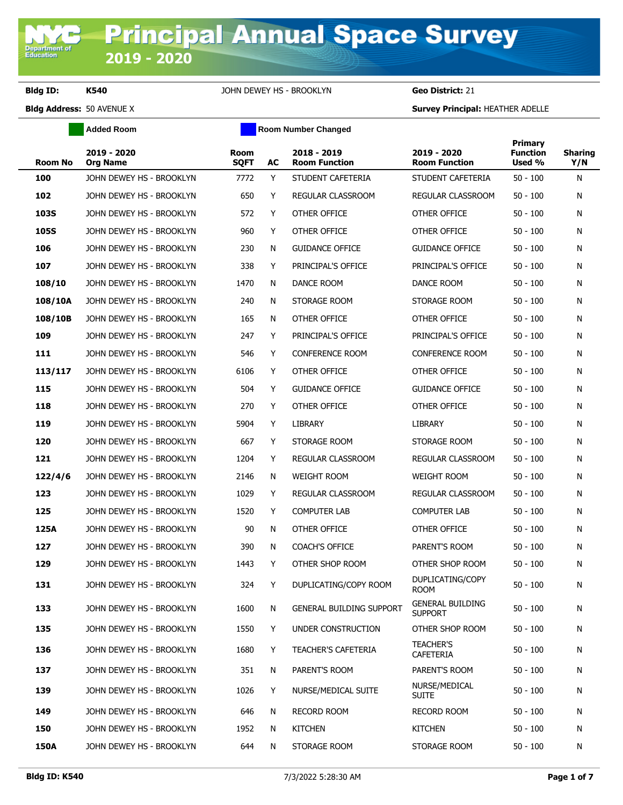**Department of**<br>Education

**Bldg ID: K540** JOHN DEWEY HS - BROOKLYN **Geo District:** 21

**Added Room Room Room Number Changed** 

| <b>Room No</b> | 2019 - 2020<br><b>Org Name</b> | Room<br><b>SQFT</b> | AC | 2018 - 2019<br><b>Room Function</b> | 2019 - 2020<br><b>Room Function</b>       | <b>Primary</b><br><b>Function</b><br>Used % | <b>Sharing</b><br>Y/N |
|----------------|--------------------------------|---------------------|----|-------------------------------------|-------------------------------------------|---------------------------------------------|-----------------------|
| 100            | JOHN DEWEY HS - BROOKLYN       | 7772                | Y  | STUDENT CAFETERIA                   | STUDENT CAFETERIA                         | $50 - 100$                                  | N                     |
| 102            | JOHN DEWEY HS - BROOKLYN       | 650                 | Y  | REGULAR CLASSROOM                   | REGULAR CLASSROOM                         | $50 - 100$                                  | N                     |
| <b>103S</b>    | JOHN DEWEY HS - BROOKLYN       | 572                 | Y  | OTHER OFFICE                        | OTHER OFFICE                              | $50 - 100$                                  | N                     |
| <b>105S</b>    | JOHN DEWEY HS - BROOKLYN       | 960                 | Y  | OTHER OFFICE                        | OTHER OFFICE                              | $50 - 100$                                  | Ν                     |
| 106            | JOHN DEWEY HS - BROOKLYN       | 230                 | N  | <b>GUIDANCE OFFICE</b>              | <b>GUIDANCE OFFICE</b>                    | $50 - 100$                                  | Ν                     |
| 107            | JOHN DEWEY HS - BROOKLYN       | 338                 | Y  | PRINCIPAL'S OFFICE                  | PRINCIPAL'S OFFICE                        | $50 - 100$                                  | Ν                     |
| 108/10         | JOHN DEWEY HS - BROOKLYN       | 1470                | N  | DANCE ROOM                          | DANCE ROOM                                | $50 - 100$                                  | N                     |
| 108/10A        | JOHN DEWEY HS - BROOKLYN       | 240                 | N  | STORAGE ROOM                        | STORAGE ROOM                              | $50 - 100$                                  | Ν                     |
| 108/10B        | JOHN DEWEY HS - BROOKLYN       | 165                 | N  | OTHER OFFICE                        | OTHER OFFICE                              | $50 - 100$                                  | N                     |
| 109            | JOHN DEWEY HS - BROOKLYN       | 247                 | Y  | PRINCIPAL'S OFFICE                  | PRINCIPAL'S OFFICE                        | 50 - 100                                    | N                     |
| 111            | JOHN DEWEY HS - BROOKLYN       | 546                 | Y  | <b>CONFERENCE ROOM</b>              | <b>CONFERENCE ROOM</b>                    | $50 - 100$                                  | N                     |
| 113/117        | JOHN DEWEY HS - BROOKLYN       | 6106                | Y  | OTHER OFFICE                        | OTHER OFFICE                              | $50 - 100$                                  | Ν                     |
| 115            | JOHN DEWEY HS - BROOKLYN       | 504                 | Y  | <b>GUIDANCE OFFICE</b>              | <b>GUIDANCE OFFICE</b>                    | $50 - 100$                                  | Ν                     |
| 118            | JOHN DEWEY HS - BROOKLYN       | 270                 | Y  | OTHER OFFICE                        | OTHER OFFICE                              | $50 - 100$                                  | Ν                     |
| 119            | JOHN DEWEY HS - BROOKLYN       | 5904                | Y  | LIBRARY                             | <b>LIBRARY</b>                            | $50 - 100$                                  | N                     |
| 120            | JOHN DEWEY HS - BROOKLYN       | 667                 | Y  | STORAGE ROOM                        | STORAGE ROOM                              | $50 - 100$                                  | N                     |
| 121            | JOHN DEWEY HS - BROOKLYN       | 1204                | Y  | REGULAR CLASSROOM                   | REGULAR CLASSROOM                         | $50 - 100$                                  | Ν                     |
| 122/4/6        | JOHN DEWEY HS - BROOKLYN       | 2146                | N  | <b>WEIGHT ROOM</b>                  | <b>WEIGHT ROOM</b>                        | $50 - 100$                                  | N                     |
| 123            | JOHN DEWEY HS - BROOKLYN       | 1029                | Y  | REGULAR CLASSROOM                   | REGULAR CLASSROOM                         | $50 - 100$                                  | N                     |
| 125            | JOHN DEWEY HS - BROOKLYN       | 1520                | Y  | <b>COMPUTER LAB</b>                 | <b>COMPUTER LAB</b>                       | $50 - 100$                                  | N                     |
| 125A           | JOHN DEWEY HS - BROOKLYN       | 90                  | N  | OTHER OFFICE                        | OTHER OFFICE                              | $50 - 100$                                  | N                     |
| 127            | JOHN DEWEY HS - BROOKLYN       | 390                 | N  | <b>COACH'S OFFICE</b>               | PARENT'S ROOM                             | $50 - 100$                                  | N                     |
| 129            | JOHN DEWEY HS - BROOKLYN       | 1443                | Y  | OTHER SHOP ROOM                     | OTHER SHOP ROOM                           | $50 - 100$                                  | N                     |
| 131            | JOHN DEWEY HS - BROOKLYN       | 324                 | Y  | DUPLICATING/COPY ROOM               | DUPLICATING/COPY<br><b>ROOM</b>           | 50 - 100                                    | Ν                     |
| 133            | JOHN DEWEY HS - BROOKLYN       | 1600                | N  | <b>GENERAL BUILDING SUPPORT</b>     | <b>GENERAL BUILDING</b><br><b>SUPPORT</b> | $50 - 100$                                  | N                     |
| 135            | JOHN DEWEY HS - BROOKLYN       | 1550                | Y. | UNDER CONSTRUCTION                  | OTHER SHOP ROOM                           | $50 - 100$                                  | N                     |
| 136            | JOHN DEWEY HS - BROOKLYN       | 1680                | Y  | <b>TEACHER'S CAFETERIA</b>          | <b>TEACHER'S</b><br>CAFETERIA             | $50 - 100$                                  | N                     |
| 137            | JOHN DEWEY HS - BROOKLYN       | 351                 | N  | PARENT'S ROOM                       | PARENT'S ROOM                             | $50 - 100$                                  | N                     |
| 139            | JOHN DEWEY HS - BROOKLYN       | 1026                | Y  | NURSE/MEDICAL SUITE                 | NURSE/MEDICAL<br><b>SUITE</b>             | $50 - 100$                                  | N                     |
| 149            | JOHN DEWEY HS - BROOKLYN       | 646                 | N  | RECORD ROOM                         | <b>RECORD ROOM</b>                        | $50 - 100$                                  | N                     |
| 150            | JOHN DEWEY HS - BROOKLYN       | 1952                | N  | <b>KITCHEN</b>                      | <b>KITCHEN</b>                            | $50 - 100$                                  | N                     |
| <b>150A</b>    | JOHN DEWEY HS - BROOKLYN       | 644                 | N  | STORAGE ROOM                        | STORAGE ROOM                              | $50 - 100$                                  | N                     |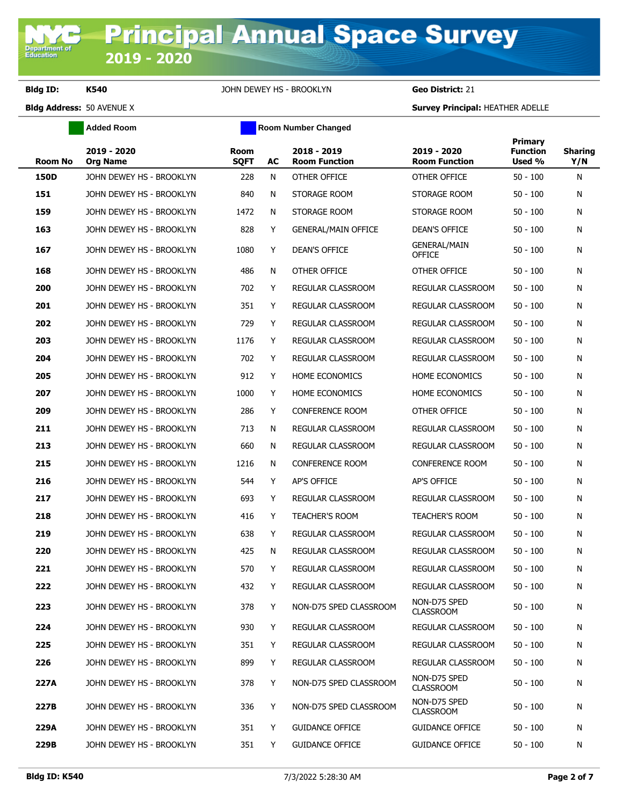**Added Room Room Room Number Changed** 

| <b>Room No</b> | 2019 - 2020<br><b>Org Name</b> | Room<br><b>SQFT</b> | AC | 2018 - 2019<br><b>Room Function</b> | 2019 - 2020<br><b>Room Function</b>  | Primary<br><b>Function</b><br>Used % | <b>Sharing</b><br>Y/N |
|----------------|--------------------------------|---------------------|----|-------------------------------------|--------------------------------------|--------------------------------------|-----------------------|
| 150D           | JOHN DEWEY HS - BROOKLYN       | 228                 | N  | OTHER OFFICE                        | OTHER OFFICE                         | $50 - 100$                           | N                     |
| 151            | JOHN DEWEY HS - BROOKLYN       | 840                 | N  | STORAGE ROOM                        | STORAGE ROOM                         | $50 - 100$                           | N                     |
| 159            | JOHN DEWEY HS - BROOKLYN       | 1472                | N  | STORAGE ROOM                        | STORAGE ROOM                         | $50 - 100$                           | N                     |
| 163            | JOHN DEWEY HS - BROOKLYN       | 828                 | Y  | <b>GENERAL/MAIN OFFICE</b>          | DEAN'S OFFICE                        | $50 - 100$                           | N                     |
| 167            | JOHN DEWEY HS - BROOKLYN       | 1080                | Y  | DEAN'S OFFICE                       | <b>GENERAL/MAIN</b><br><b>OFFICE</b> | $50 - 100$                           | N                     |
| 168            | JOHN DEWEY HS - BROOKLYN       | 486                 | N  | OTHER OFFICE                        | OTHER OFFICE                         | $50 - 100$                           | N                     |
| 200            | JOHN DEWEY HS - BROOKLYN       | 702                 | Y  | REGULAR CLASSROOM                   | REGULAR CLASSROOM                    | $50 - 100$                           | N                     |
| 201            | JOHN DEWEY HS - BROOKLYN       | 351                 | Y  | REGULAR CLASSROOM                   | REGULAR CLASSROOM                    | $50 - 100$                           | N                     |
| 202            | JOHN DEWEY HS - BROOKLYN       | 729                 | Y  | REGULAR CLASSROOM                   | REGULAR CLASSROOM                    | $50 - 100$                           | N                     |
| 203            | JOHN DEWEY HS - BROOKLYN       | 1176                | Y  | REGULAR CLASSROOM                   | <b>REGULAR CLASSROOM</b>             | $50 - 100$                           | N                     |
| 204            | JOHN DEWEY HS - BROOKLYN       | 702                 | Y  | REGULAR CLASSROOM                   | REGULAR CLASSROOM                    | $50 - 100$                           | N                     |
| 205            | JOHN DEWEY HS - BROOKLYN       | 912                 | Y  | <b>HOME ECONOMICS</b>               | <b>HOME ECONOMICS</b>                | $50 - 100$                           | N                     |
| 207            | JOHN DEWEY HS - BROOKLYN       | 1000                | Y  | <b>HOME ECONOMICS</b>               | <b>HOME ECONOMICS</b>                | $50 - 100$                           | N                     |
| 209            | JOHN DEWEY HS - BROOKLYN       | 286                 | Y  | <b>CONFERENCE ROOM</b>              | OTHER OFFICE                         | $50 - 100$                           | N                     |
| 211            | JOHN DEWEY HS - BROOKLYN       | 713                 | N  | REGULAR CLASSROOM                   | REGULAR CLASSROOM                    | $50 - 100$                           | N                     |
| 213            | JOHN DEWEY HS - BROOKLYN       | 660                 | N  | REGULAR CLASSROOM                   | REGULAR CLASSROOM                    | $50 - 100$                           | N                     |
| 215            | JOHN DEWEY HS - BROOKLYN       | 1216                | N  | <b>CONFERENCE ROOM</b>              | <b>CONFERENCE ROOM</b>               | $50 - 100$                           | N                     |
| 216            | JOHN DEWEY HS - BROOKLYN       | 544                 | Y  | AP'S OFFICE                         | AP'S OFFICE                          | $50 - 100$                           | N                     |
| 217            | JOHN DEWEY HS - BROOKLYN       | 693                 | Y  | REGULAR CLASSROOM                   | REGULAR CLASSROOM                    | $50 - 100$                           | N                     |
| 218            | JOHN DEWEY HS - BROOKLYN       | 416                 | Y  | <b>TEACHER'S ROOM</b>               | <b>TEACHER'S ROOM</b>                | $50 - 100$                           | N                     |
| 219            | JOHN DEWEY HS - BROOKLYN       | 638                 | Y  | REGULAR CLASSROOM                   | REGULAR CLASSROOM                    | $50 - 100$                           | N                     |
| 220            | JOHN DEWEY HS - BROOKLYN       | 425                 | N  | <b>REGULAR CLASSROOM</b>            | REGULAR CLASSROOM                    | $50 - 100$                           | N                     |
| 221            | JOHN DEWEY HS - BROOKLYN       | 570                 | Y  | REGULAR CLASSROOM                   | REGULAR CLASSROOM                    | $50 - 100$                           | N                     |
| 222            | JOHN DEWEY HS - BROOKLYN       | 432                 | Y  | REGULAR CLASSROOM                   | REGULAR CLASSROOM                    | $50 - 100$                           | N                     |
| 223            | JOHN DEWEY HS - BROOKLYN       | 378                 | Y  | NON-D75 SPED CLASSROOM              | NON-D75 SPED<br><b>CLASSROOM</b>     | $50 - 100$                           | N                     |
| 224            | JOHN DEWEY HS - BROOKLYN       | 930                 | Y  | <b>REGULAR CLASSROOM</b>            | REGULAR CLASSROOM                    | $50 - 100$                           | N                     |
| 225            | JOHN DEWEY HS - BROOKLYN       | 351                 | Y  | REGULAR CLASSROOM                   | REGULAR CLASSROOM                    | $50 - 100$                           | N                     |
| 226            | JOHN DEWEY HS - BROOKLYN       | 899                 | Y  | REGULAR CLASSROOM                   | <b>REGULAR CLASSROOM</b>             | $50 - 100$                           | N                     |
| 227A           | JOHN DEWEY HS - BROOKLYN       | 378                 | Y  | NON-D75 SPED CLASSROOM              | NON-D75 SPED<br><b>CLASSROOM</b>     | $50 - 100$                           | N                     |
| 227B           | JOHN DEWEY HS - BROOKLYN       | 336                 | Y  | NON-D75 SPED CLASSROOM              | NON-D75 SPED<br><b>CLASSROOM</b>     | $50 - 100$                           | N                     |
| 229A           | JOHN DEWEY HS - BROOKLYN       | 351                 | Y  | <b>GUIDANCE OFFICE</b>              | <b>GUIDANCE OFFICE</b>               | $50 - 100$                           | N                     |
| 229B           | JOHN DEWEY HS - BROOKLYN       | 351                 | Y  | <b>GUIDANCE OFFICE</b>              | <b>GUIDANCE OFFICE</b>               | $50 - 100$                           | N                     |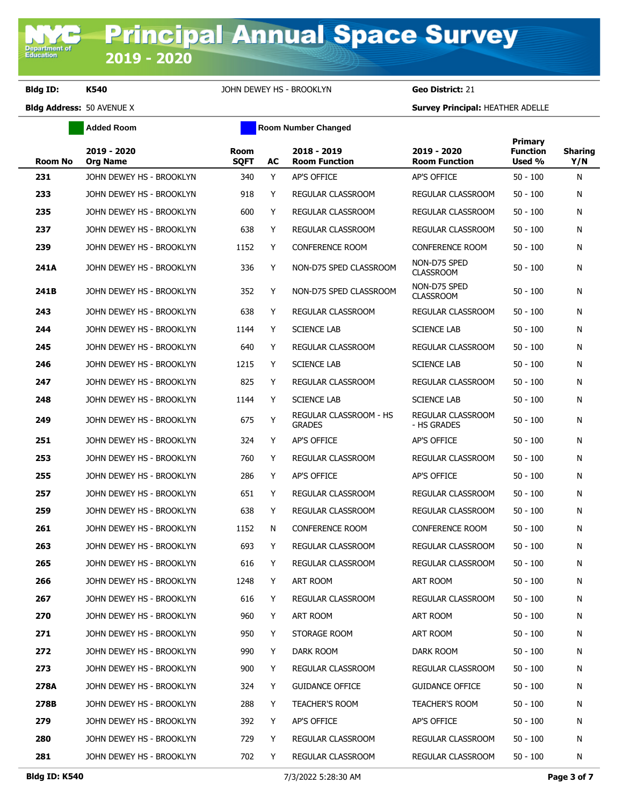**Added Room Room Room Number Changed** 

| <b>Room No</b> | 2019 - 2020<br><b>Org Name</b> | Room<br><b>SQFT</b> | AC | 2018 - 2019<br><b>Room Function</b>            | 2019 - 2020<br><b>Room Function</b> | <b>Primary</b><br><b>Function</b><br>Used % | <b>Sharing</b><br>Y/N |
|----------------|--------------------------------|---------------------|----|------------------------------------------------|-------------------------------------|---------------------------------------------|-----------------------|
| 231            | JOHN DEWEY HS - BROOKLYN       | 340                 | Y  | <b>AP'S OFFICE</b>                             | AP'S OFFICE                         | $50 - 100$                                  | N                     |
| 233            | JOHN DEWEY HS - BROOKLYN       | 918                 | Y  | <b>REGULAR CLASSROOM</b>                       | REGULAR CLASSROOM                   | $50 - 100$                                  | N                     |
| 235            | JOHN DEWEY HS - BROOKLYN       | 600                 | Y  | REGULAR CLASSROOM                              | REGULAR CLASSROOM                   | $50 - 100$                                  | N                     |
| 237            | JOHN DEWEY HS - BROOKLYN       | 638                 | Y  | REGULAR CLASSROOM                              | REGULAR CLASSROOM                   | $50 - 100$                                  | N                     |
| 239            | JOHN DEWEY HS - BROOKLYN       | 1152                | Y  | <b>CONFERENCE ROOM</b>                         | <b>CONFERENCE ROOM</b>              | $50 - 100$                                  | N                     |
| 241A           | JOHN DEWEY HS - BROOKLYN       | 336                 | Y  | NON-D75 SPED CLASSROOM                         | NON-D75 SPED<br><b>CLASSROOM</b>    | $50 - 100$                                  | N                     |
| 241B           | JOHN DEWEY HS - BROOKLYN       | 352                 | Y  | NON-D75 SPED CLASSROOM                         | NON-D75 SPED<br><b>CLASSROOM</b>    | $50 - 100$                                  | N                     |
| 243            | JOHN DEWEY HS - BROOKLYN       | 638                 | Y  | REGULAR CLASSROOM                              | REGULAR CLASSROOM                   | $50 - 100$                                  | N                     |
| 244            | JOHN DEWEY HS - BROOKLYN       | 1144                | Y  | <b>SCIENCE LAB</b>                             | <b>SCIENCE LAB</b>                  | $50 - 100$                                  | N                     |
| 245            | JOHN DEWEY HS - BROOKLYN       | 640                 | Y  | REGULAR CLASSROOM                              | REGULAR CLASSROOM                   | $50 - 100$                                  | N                     |
| 246            | JOHN DEWEY HS - BROOKLYN       | 1215                | Y  | <b>SCIENCE LAB</b>                             | <b>SCIENCE LAB</b>                  | $50 - 100$                                  | N                     |
| 247            | JOHN DEWEY HS - BROOKLYN       | 825                 | Y  | <b>REGULAR CLASSROOM</b>                       | REGULAR CLASSROOM                   | 50 - 100                                    | N                     |
| 248            | JOHN DEWEY HS - BROOKLYN       | 1144                | Y  | <b>SCIENCE LAB</b>                             | <b>SCIENCE LAB</b>                  | $50 - 100$                                  | N                     |
| 249            | JOHN DEWEY HS - BROOKLYN       | 675                 | Y  | <b>REGULAR CLASSROOM - HS</b><br><b>GRADES</b> | REGULAR CLASSROOM<br>- HS GRADES    | $50 - 100$                                  | N                     |
| 251            | JOHN DEWEY HS - BROOKLYN       | 324                 | Y  | <b>AP'S OFFICE</b>                             | AP'S OFFICE                         | $50 - 100$                                  | N                     |
| 253            | JOHN DEWEY HS - BROOKLYN       | 760                 | Y  | REGULAR CLASSROOM                              | REGULAR CLASSROOM                   | $50 - 100$                                  | N                     |
| 255            | JOHN DEWEY HS - BROOKLYN       | 286                 | Y  | AP'S OFFICE                                    | AP'S OFFICE                         | $50 - 100$                                  | N                     |
| 257            | JOHN DEWEY HS - BROOKLYN       | 651                 | Y  | REGULAR CLASSROOM                              | REGULAR CLASSROOM                   | $50 - 100$                                  | N                     |
| 259            | JOHN DEWEY HS - BROOKLYN       | 638                 | Y  | REGULAR CLASSROOM                              | REGULAR CLASSROOM                   | 50 - 100                                    | N                     |
| 261            | JOHN DEWEY HS - BROOKLYN       | 1152                | N  | <b>CONFERENCE ROOM</b>                         | <b>CONFERENCE ROOM</b>              | $50 - 100$                                  | N                     |
| 263            | JOHN DEWEY HS - BROOKLYN       | 693                 | Y  | REGULAR CLASSROOM                              | <b>REGULAR CLASSROOM</b>            | $50 - 100$                                  | N                     |
| 265            | JOHN DEWEY HS - BROOKLYN       | 616                 | Y  | <b>REGULAR CLASSROOM</b>                       | REGULAR CLASSROOM                   | $50 - 100$                                  | N                     |
| 266            | JOHN DEWEY HS - BROOKLYN       | 1248                | Y  | ART ROOM                                       | ART ROOM                            | $50 - 100$                                  | N                     |
| 267            | JOHN DEWEY HS - BROOKLYN       | 616                 | Y  | REGULAR CLASSROOM                              | REGULAR CLASSROOM                   | $50 - 100$                                  | N                     |
| 270            | JOHN DEWEY HS - BROOKLYN       | 960                 | Y  | ART ROOM                                       | ART ROOM                            | $50 - 100$                                  | N                     |
| 271            | JOHN DEWEY HS - BROOKLYN       | 950                 | Y  | STORAGE ROOM                                   | ART ROOM                            | $50 - 100$                                  | N                     |
| 272            | JOHN DEWEY HS - BROOKLYN       | 990                 | Y  | DARK ROOM                                      | DARK ROOM                           | $50 - 100$                                  | N                     |
| 273            | JOHN DEWEY HS - BROOKLYN       | 900                 | Y  | REGULAR CLASSROOM                              | REGULAR CLASSROOM                   | 50 - 100                                    | N                     |
| 278A           | JOHN DEWEY HS - BROOKLYN       | 324                 | Y  | <b>GUIDANCE OFFICE</b>                         | <b>GUIDANCE OFFICE</b>              | $50 - 100$                                  | N                     |
| 278B           | JOHN DEWEY HS - BROOKLYN       | 288                 | Y  | <b>TEACHER'S ROOM</b>                          | <b>TEACHER'S ROOM</b>               | $50 - 100$                                  | N                     |
| 279            | JOHN DEWEY HS - BROOKLYN       | 392                 | Y  | AP'S OFFICE                                    | AP'S OFFICE                         | $50 - 100$                                  | N                     |
| 280            | JOHN DEWEY HS - BROOKLYN       | 729                 | Y  | REGULAR CLASSROOM                              | REGULAR CLASSROOM                   | $50 - 100$                                  | N                     |
| 281            | JOHN DEWEY HS - BROOKLYN       | 702                 | Y  | REGULAR CLASSROOM                              | REGULAR CLASSROOM                   | $50 - 100$                                  | N                     |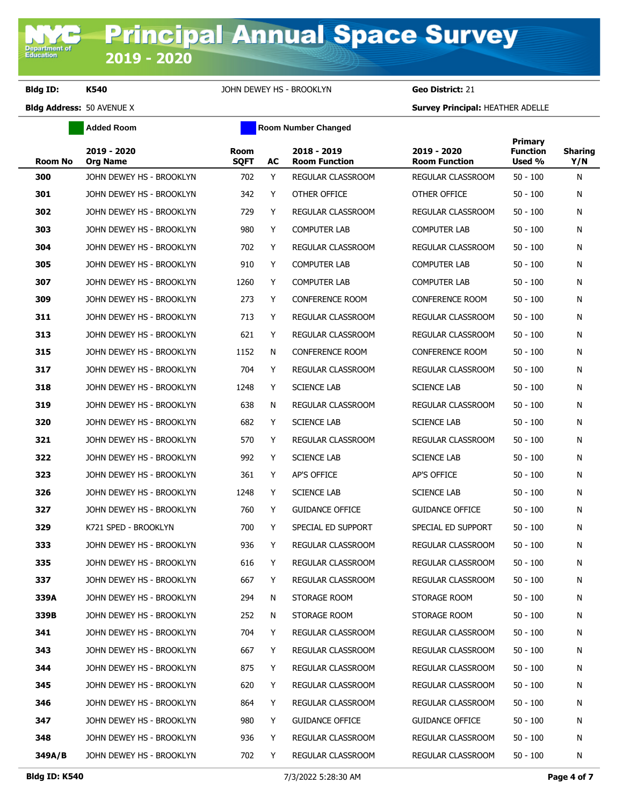**Added Room Room Room Number Changed** 

| <b>Room No</b> | 2019 - 2020<br><b>Org Name</b> | Room<br><b>SQFT</b> | AC | 2018 - 2019<br><b>Room Function</b> | 2019 - 2020<br><b>Room Function</b> | Primary<br><b>Function</b><br>Used % | Sharing<br>Y/N |
|----------------|--------------------------------|---------------------|----|-------------------------------------|-------------------------------------|--------------------------------------|----------------|
| 300            | JOHN DEWEY HS - BROOKLYN       | 702                 | Y  | REGULAR CLASSROOM                   | REGULAR CLASSROOM                   | $50 - 100$                           | N              |
| 301            | JOHN DEWEY HS - BROOKLYN       | 342                 | Y  | OTHER OFFICE                        | OTHER OFFICE                        | $50 - 100$                           | N              |
| 302            | JOHN DEWEY HS - BROOKLYN       | 729                 | Y  | <b>REGULAR CLASSROOM</b>            | REGULAR CLASSROOM                   | $50 - 100$                           | N              |
| 303            | JOHN DEWEY HS - BROOKLYN       | 980                 | Y  | <b>COMPUTER LAB</b>                 | <b>COMPUTER LAB</b>                 | $50 - 100$                           | N              |
| 304            | JOHN DEWEY HS - BROOKLYN       | 702                 | Y  | <b>REGULAR CLASSROOM</b>            | <b>REGULAR CLASSROOM</b>            | $50 - 100$                           | N              |
| 305            | JOHN DEWEY HS - BROOKLYN       | 910                 | Y  | <b>COMPUTER LAB</b>                 | <b>COMPUTER LAB</b>                 | $50 - 100$                           | N              |
| 307            | JOHN DEWEY HS - BROOKLYN       | 1260                | Y  | <b>COMPUTER LAB</b>                 | <b>COMPUTER LAB</b>                 | $50 - 100$                           | N              |
| 309            | JOHN DEWEY HS - BROOKLYN       | 273                 | Y  | <b>CONFERENCE ROOM</b>              | <b>CONFERENCE ROOM</b>              | $50 - 100$                           | N              |
| 311            | JOHN DEWEY HS - BROOKLYN       | 713                 | Y  | REGULAR CLASSROOM                   | REGULAR CLASSROOM                   | $50 - 100$                           | N              |
| 313            | JOHN DEWEY HS - BROOKLYN       | 621                 | Y  | REGULAR CLASSROOM                   | REGULAR CLASSROOM                   | $50 - 100$                           | N              |
| 315            | JOHN DEWEY HS - BROOKLYN       | 1152                | N  | <b>CONFERENCE ROOM</b>              | <b>CONFERENCE ROOM</b>              | $50 - 100$                           | N              |
| 317            | JOHN DEWEY HS - BROOKLYN       | 704                 | Y  | <b>REGULAR CLASSROOM</b>            | REGULAR CLASSROOM                   | $50 - 100$                           | N              |
| 318            | JOHN DEWEY HS - BROOKLYN       | 1248                | Y  | <b>SCIENCE LAB</b>                  | <b>SCIENCE LAB</b>                  | $50 - 100$                           | N              |
| 319            | JOHN DEWEY HS - BROOKLYN       | 638                 | N  | REGULAR CLASSROOM                   | REGULAR CLASSROOM                   | $50 - 100$                           | N              |
| 320            | JOHN DEWEY HS - BROOKLYN       | 682                 | Y  | <b>SCIENCE LAB</b>                  | <b>SCIENCE LAB</b>                  | 50 - 100                             | N              |
| 321            | JOHN DEWEY HS - BROOKLYN       | 570                 | Y  | REGULAR CLASSROOM                   | REGULAR CLASSROOM                   | $50 - 100$                           | N              |
| 322            | JOHN DEWEY HS - BROOKLYN       | 992                 | Y  | <b>SCIENCE LAB</b>                  | <b>SCIENCE LAB</b>                  | $50 - 100$                           | N              |
| 323            | JOHN DEWEY HS - BROOKLYN       | 361                 | Y  | AP'S OFFICE                         | AP'S OFFICE                         | $50 - 100$                           | N              |
| 326            | JOHN DEWEY HS - BROOKLYN       | 1248                | Y  | <b>SCIENCE LAB</b>                  | <b>SCIENCE LAB</b>                  | $50 - 100$                           | N              |
| 327            | JOHN DEWEY HS - BROOKLYN       | 760                 | Y  | <b>GUIDANCE OFFICE</b>              | <b>GUIDANCE OFFICE</b>              | $50 - 100$                           | N              |
| 329            | K721 SPED - BROOKLYN           | 700                 | Y  | SPECIAL ED SUPPORT                  | SPECIAL ED SUPPORT                  | $50 - 100$                           | N              |
| 333            | JOHN DEWEY HS - BROOKLYN       | 936                 | Y  | REGULAR CLASSROOM                   | <b>REGULAR CLASSROOM</b>            | $50 - 100$                           | N              |
| 335            | JOHN DEWEY HS - BROOKLYN       | 616                 | Y  | REGULAR CLASSROOM                   | REGULAR CLASSROOM                   | 50 - 100                             | N              |
| 337            | JOHN DEWEY HS - BROOKLYN       | 667                 | Y  | REGULAR CLASSROOM                   | REGULAR CLASSROOM                   | $50 - 100$                           | N              |
| 339A           | JOHN DEWEY HS - BROOKLYN       | 294                 | N  | STORAGE ROOM                        | STORAGE ROOM                        | $50 - 100$                           | N              |
| 339B           | JOHN DEWEY HS - BROOKLYN       | 252                 | N  | STORAGE ROOM                        | STORAGE ROOM                        | $50 - 100$                           | N              |
| 341            | JOHN DEWEY HS - BROOKLYN       | 704                 | Y  | REGULAR CLASSROOM                   | REGULAR CLASSROOM                   | 50 - 100                             | N              |
| 343            | JOHN DEWEY HS - BROOKLYN       | 667                 | Y  | REGULAR CLASSROOM                   | REGULAR CLASSROOM                   | $50 - 100$                           | N              |
| 344            | JOHN DEWEY HS - BROOKLYN       | 875                 | Y  | <b>REGULAR CLASSROOM</b>            | REGULAR CLASSROOM                   | $50 - 100$                           | N              |
| 345            | JOHN DEWEY HS - BROOKLYN       | 620                 | Y  | REGULAR CLASSROOM                   | REGULAR CLASSROOM                   | $50 - 100$                           | N              |
| 346            | JOHN DEWEY HS - BROOKLYN       | 864                 | Y  | REGULAR CLASSROOM                   | REGULAR CLASSROOM                   | $50 - 100$                           | N              |
| 347            | JOHN DEWEY HS - BROOKLYN       | 980                 | Y  | <b>GUIDANCE OFFICE</b>              | <b>GUIDANCE OFFICE</b>              | $50 - 100$                           | N              |
| 348            | JOHN DEWEY HS - BROOKLYN       | 936                 | Y  | REGULAR CLASSROOM                   | REGULAR CLASSROOM                   | $50 - 100$                           | N              |
| 349A/B         | JOHN DEWEY HS - BROOKLYN       | 702                 | Y  | REGULAR CLASSROOM                   | REGULAR CLASSROOM                   | $50 - 100$                           | N              |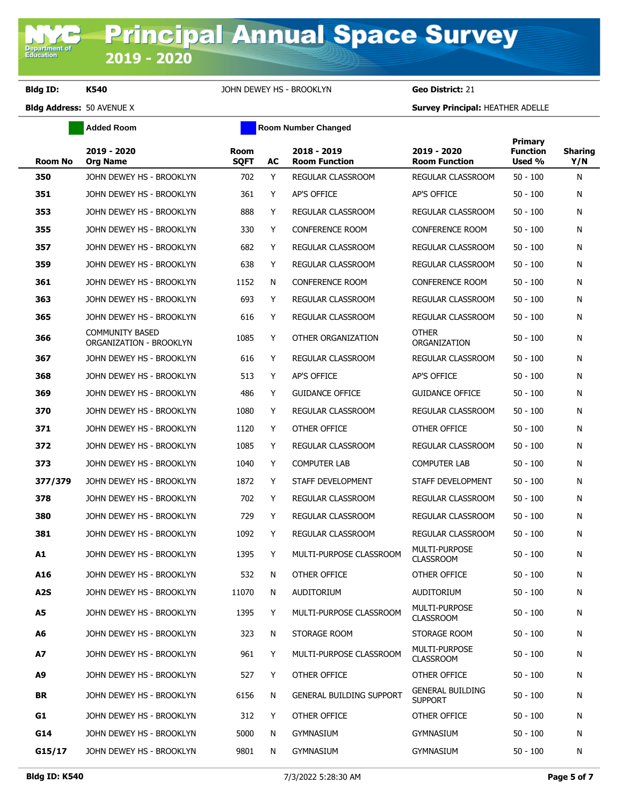**Added Room Room Room Number Changed** 

| <b>Room No</b>   | 2019 - 2020<br><b>Org Name</b>                    | Room<br><b>SQFT</b> | AC | 2018 - 2019<br><b>Room Function</b> | 2019 - 2020<br><b>Room Function</b>       | Primary<br><b>Function</b><br>Used % | Sharing<br>Y/N |
|------------------|---------------------------------------------------|---------------------|----|-------------------------------------|-------------------------------------------|--------------------------------------|----------------|
| 350              | JOHN DEWEY HS - BROOKLYN                          | 702                 | Y  | REGULAR CLASSROOM                   | REGULAR CLASSROOM                         | $50 - 100$                           | N              |
| 351              | JOHN DEWEY HS - BROOKLYN                          | 361                 | Y  | <b>AP'S OFFICE</b>                  | <b>AP'S OFFICE</b>                        | $50 - 100$                           | N              |
| 353              | JOHN DEWEY HS - BROOKLYN                          | 888                 | Y  | <b>REGULAR CLASSROOM</b>            | <b>REGULAR CLASSROOM</b>                  | $50 - 100$                           | N              |
| 355              | JOHN DEWEY HS - BROOKLYN                          | 330                 | Y  | <b>CONFERENCE ROOM</b>              | <b>CONFERENCE ROOM</b>                    | $50 - 100$                           | N              |
| 357              | JOHN DEWEY HS - BROOKLYN                          | 682                 | Y  | REGULAR CLASSROOM                   | REGULAR CLASSROOM                         | $50 - 100$                           | N              |
| 359              | JOHN DEWEY HS - BROOKLYN                          | 638                 | Y  | REGULAR CLASSROOM                   | REGULAR CLASSROOM                         | $50 - 100$                           | N              |
| 361              | JOHN DEWEY HS - BROOKLYN                          | 1152                | N  | <b>CONFERENCE ROOM</b>              | <b>CONFERENCE ROOM</b>                    | $50 - 100$                           | N              |
| 363              | JOHN DEWEY HS - BROOKLYN                          | 693                 | Y  | REGULAR CLASSROOM                   | REGULAR CLASSROOM                         | $50 - 100$                           | N              |
| 365              | JOHN DEWEY HS - BROOKLYN                          | 616                 | Y  | REGULAR CLASSROOM                   | REGULAR CLASSROOM                         | $50 - 100$                           | N              |
| 366              | <b>COMMUNITY BASED</b><br>ORGANIZATION - BROOKLYN | 1085                | Y  | OTHER ORGANIZATION                  | <b>OTHER</b><br>ORGANIZATION              | $50 - 100$                           | N              |
| 367              | JOHN DEWEY HS - BROOKLYN                          | 616                 | Y  | <b>REGULAR CLASSROOM</b>            | REGULAR CLASSROOM                         | $50 - 100$                           | N              |
| 368              | JOHN DEWEY HS - BROOKLYN                          | 513                 | Y  | <b>AP'S OFFICE</b>                  | <b>AP'S OFFICE</b>                        | $50 - 100$                           | N              |
| 369              | JOHN DEWEY HS - BROOKLYN                          | 486                 | Y  | <b>GUIDANCE OFFICE</b>              | <b>GUIDANCE OFFICE</b>                    | $50 - 100$                           | N              |
| 370              | JOHN DEWEY HS - BROOKLYN                          | 1080                | Y  | REGULAR CLASSROOM                   | REGULAR CLASSROOM                         | $50 - 100$                           | N              |
| 371              | JOHN DEWEY HS - BROOKLYN                          | 1120                | Y  | OTHER OFFICE                        | OTHER OFFICE                              | $50 - 100$                           | N              |
| 372              | JOHN DEWEY HS - BROOKLYN                          | 1085                | Y  | REGULAR CLASSROOM                   | REGULAR CLASSROOM                         | $50 - 100$                           | N              |
| 373              | JOHN DEWEY HS - BROOKLYN                          | 1040                | Y  | <b>COMPUTER LAB</b>                 | <b>COMPUTER LAB</b>                       | $50 - 100$                           | N              |
| 377/379          | JOHN DEWEY HS - BROOKLYN                          | 1872                | Y  | STAFF DEVELOPMENT                   | STAFF DEVELOPMENT                         | $50 - 100$                           | N              |
| 378              | JOHN DEWEY HS - BROOKLYN                          | 702                 | Y  | REGULAR CLASSROOM                   | REGULAR CLASSROOM                         | $50 - 100$                           | N              |
| 380              | JOHN DEWEY HS - BROOKLYN                          | 729                 | Y  | REGULAR CLASSROOM                   | REGULAR CLASSROOM                         | $50 - 100$                           | N              |
| 381              | JOHN DEWEY HS - BROOKLYN                          | 1092                | Y  | REGULAR CLASSROOM                   | REGULAR CLASSROOM                         | $50 - 100$                           | N              |
| A1               | JOHN DEWEY HS - BROOKLYN                          | 1395                | Y  | MULTI-PURPOSE CLASSROOM             | MULTI-PURPOSE<br><b>CLASSROOM</b>         | $50 - 100$                           | N              |
| A16              | JOHN DEWEY HS - BROOKLYN                          | 532                 | N  | OTHER OFFICE                        | OTHER OFFICE                              | $50 - 100$                           | N              |
| A <sub>2</sub> S | JOHN DEWEY HS - BROOKLYN                          | 11070               | N. | AUDITORIUM                          | AUDITORIUM                                | $50 - 100$                           | N              |
| A5               | JOHN DEWEY HS - BROOKLYN                          | 1395                | Y  | MULTI-PURPOSE CLASSROOM             | MULTI-PURPOSE<br><b>CLASSROOM</b>         | $50 - 100$                           | N              |
| A6               | JOHN DEWEY HS - BROOKLYN                          | 323                 | N  | STORAGE ROOM                        | STORAGE ROOM                              | $50 - 100$                           | N              |
| A7               | JOHN DEWEY HS - BROOKLYN                          | 961                 | Y  | MULTI-PURPOSE CLASSROOM             | MULTI-PURPOSE<br><b>CLASSROOM</b>         | $50 - 100$                           | N              |
| A9               | JOHN DEWEY HS - BROOKLYN                          | 527                 | Y  | OTHER OFFICE                        | OTHER OFFICE                              | $50 - 100$                           | N              |
| BR               | JOHN DEWEY HS - BROOKLYN                          | 6156                | N  | <b>GENERAL BUILDING SUPPORT</b>     | <b>GENERAL BUILDING</b><br><b>SUPPORT</b> | $50 - 100$                           | N              |
| G1               | JOHN DEWEY HS - BROOKLYN                          | 312                 | Y  | OTHER OFFICE                        | OTHER OFFICE                              | $50 - 100$                           | N              |
| G14              | JOHN DEWEY HS - BROOKLYN                          | 5000                | N  | <b>GYMNASIUM</b>                    | <b>GYMNASIUM</b>                          | $50 - 100$                           | N              |
| G15/17           | JOHN DEWEY HS - BROOKLYN                          | 9801                | N. | <b>GYMNASIUM</b>                    | <b>GYMNASIUM</b>                          | $50 - 100$                           | N              |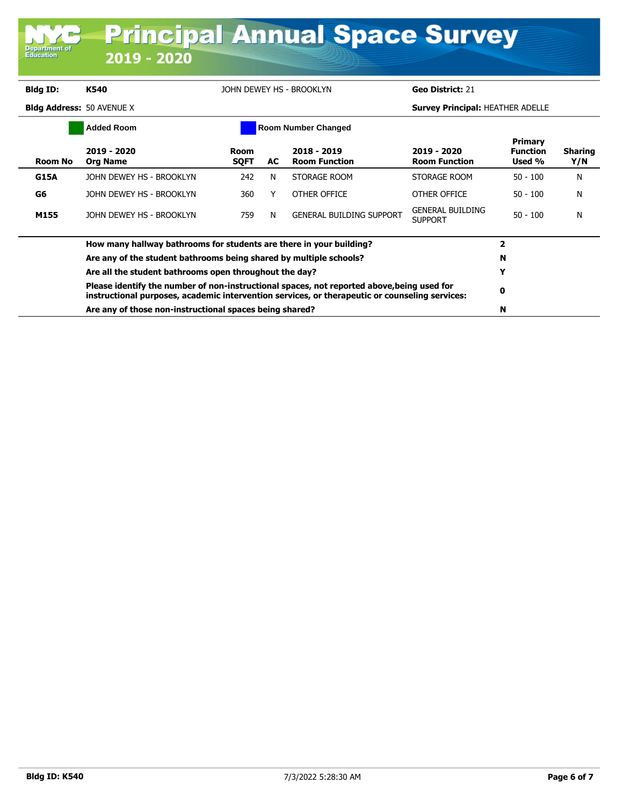| Department of<br><b>Education</b> | 2019 - 2020                      |                     |     | <b>Principal Annual Space Survey</b> |                                           |                                             |                       |
|-----------------------------------|----------------------------------|---------------------|-----|--------------------------------------|-------------------------------------------|---------------------------------------------|-----------------------|
| <b>Bldg ID:</b>                   | K540                             |                     |     | JOHN DEWEY HS - BROOKLYN             | Geo District: 21                          |                                             |                       |
| <b>Bldg Address: 50 AVENUE X</b>  |                                  |                     |     |                                      | <b>Survey Principal: HEATHER ADELLE</b>   |                                             |                       |
|                                   | <b>Added Room</b>                |                     |     | <b>Room Number Changed</b>           |                                           |                                             |                       |
| <b>Room No</b>                    | $2019 - 2020$<br><b>Org Name</b> | Room<br><b>SOFT</b> | AC. | 2018 - 2019<br><b>Room Function</b>  | 2019 - 2020<br><b>Room Function</b>       | <b>Primary</b><br><b>Function</b><br>Used % | <b>Sharing</b><br>Y/N |
| <b>G15A</b>                       | JOHN DEWEY HS - BROOKLYN         | 242                 | N   | STORAGE ROOM                         | STORAGE ROOM                              | $50 - 100$                                  | N                     |
| G <sub>6</sub>                    | JOHN DEWEY HS - BROOKLYN         | 360                 | Υ   | OTHER OFFICE                         | OTHER OFFICE                              | $50 - 100$                                  | N                     |
| M155                              | JOHN DEWEY HS - BROOKLYN         | 759                 | N   | <b>GENERAL BUILDING SUPPORT</b>      | <b>GENERAL BUILDING</b><br><b>SUPPORT</b> | $50 - 100$                                  | N                     |

| How many hallway bathrooms for students are there in your building?                                                                                                                          |   |  |
|----------------------------------------------------------------------------------------------------------------------------------------------------------------------------------------------|---|--|
| Are any of the student bathrooms being shared by multiple schools?                                                                                                                           | N |  |
| Are all the student bathrooms open throughout the day?                                                                                                                                       |   |  |
| Please identify the number of non-instructional spaces, not reported above, being used for<br>instructional purposes, academic intervention services, or therapeutic or counseling services: |   |  |
| Are any of those non-instructional spaces being shared?                                                                                                                                      | N |  |